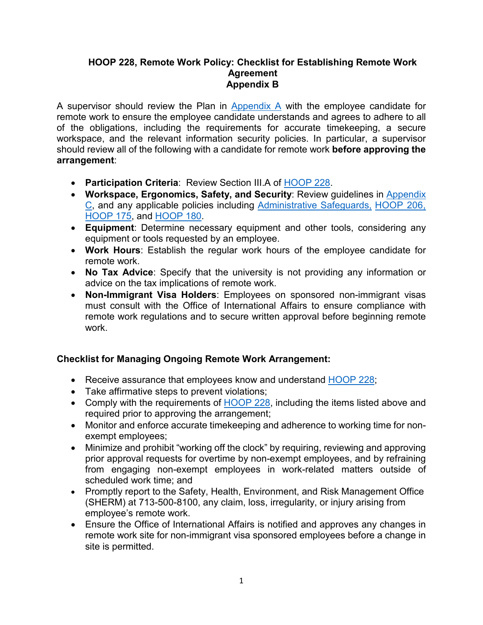## **HOOP 228, Remote Work Policy: Checklist for Establishing Remote Work Agreement Appendix B**

A supervisor should review the Plan in [Appendix A](https://www.uth.edu/hoop/documents/Exhibit%20A%20Remote%20Work%20Plan%20FINAL%203-30-22.pdf?language_id=1) with the employee candidate for remote work to ensure the employee candidate understands and agrees to adhere to all of the obligations, including the requirements for accurate timekeeping, a secure workspace, and the relevant information security policies. In particular, a supervisor should review all of the following with a candidate for remote work **before approving the arrangement**:

- **Participation Criteria**: Review Section III.A of [HOOP 228.](https://www.uth.edu/hoop/policy.htm?id=168bfe2b-ea6f-42d3-9855-c49f1fc11951)
- **Workspace, Ergonomics, Safety, and Security**: Review guidelines in Appendix C, and any applicable policies including [Administrative Safeguards,](https://inside.uth.edu/hipaa/policy.htm?id=96444fda-8c16-4d0b-b32a-4c586f8fcdd2) [HOOP 206,](https://www.uth.edu/hoop/policy.htm?id=1974558) [HOOP 175,](https://www.uth.edu/hoop/policy.htm?id=1448198) and [HOOP 180.](https://www.uth.edu/hoop/policy.htm?id=1448208)
- **Equipment**: Determine necessary equipment and other tools, considering any equipment or tools requested by an employee.
- **Work Hours**: Establish the regular work hours of the employee candidate for remote work.
- **No Tax Advice**: Specify that the university is not providing any information or advice on the tax implications of remote work.
- **Non-Immigrant Visa Holders**: Employees on sponsored non-immigrant visas must consult with the Office of International Affairs to ensure compliance with remote work regulations and to secure written approval before beginning remote work.

## **Checklist for Managing Ongoing Remote Work Arrangement:**

- Receive assurance that employees know and understand [HOOP 228;](https://www.uth.edu/hoop/policy.htm?id=168bfe2b-ea6f-42d3-9855-c49f1fc11951)
- Take affirmative steps to prevent violations;
- Comply with the requirements of [HOOP 228,](https://www.uth.edu/hoop/policy.htm?id=168bfe2b-ea6f-42d3-9855-c49f1fc11951) including the items listed above and required prior to approving the arrangement;
- Monitor and enforce accurate timekeeping and adherence to working time for nonexempt employees;
- Minimize and prohibit "working off the clock" by requiring, reviewing and approving prior approval requests for overtime by non-exempt employees, and by refraining from engaging non-exempt employees in work-related matters outside of scheduled work time; and
- Promptly report to the Safety, Health, Environment, and Risk Management Office (SHERM) at 713-500-8100, any claim, loss, irregularity, or injury arising from employee's remote work.
- Ensure the Office of International Affairs is notified and approves any changes in remote work site for non-immigrant visa sponsored employees before a change in site is permitted.